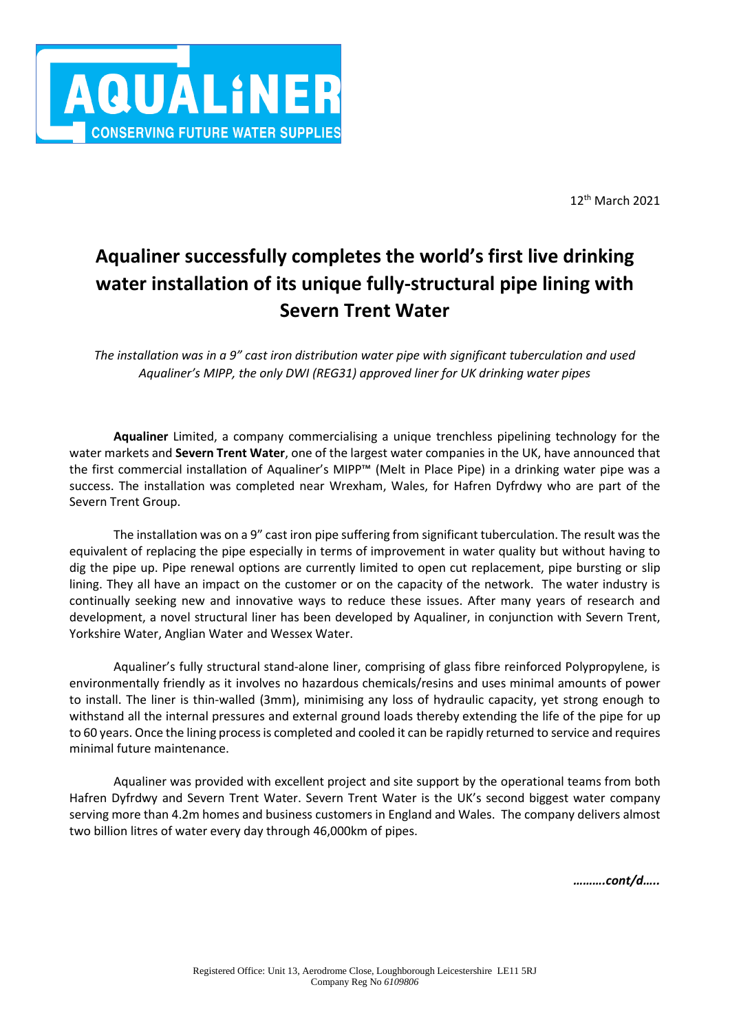

12 th March 2021

# **Aqualiner successfully completes the world's first live drinking water installation of its unique fully-structural pipe lining with Severn Trent Water**

*The installation was in a 9" cast iron distribution water pipe with significant tuberculation and used Aqualiner's MIPP, the only DWI (REG31) approved liner for UK drinking water pipes*

**Aqualiner** Limited, a company commercialising a unique trenchless pipelining technology for the water markets and **Severn Trent Water**, one of the largest water companies in the UK, have announced that the first commercial installation of Aqualiner's MIPP™ (Melt in Place Pipe) in a drinking water pipe was a success. The installation was completed near Wrexham, Wales, for Hafren Dyfrdwy who are part of the Severn Trent Group.

The installation was on a 9" cast iron pipe suffering from significant tuberculation. The result was the equivalent of replacing the pipe especially in terms of improvement in water quality but without having to dig the pipe up. Pipe renewal options are currently limited to open cut replacement, pipe bursting or slip lining. They all have an impact on the customer or on the capacity of the network. The water industry is continually seeking new and innovative ways to reduce these issues. After many years of research and development, a novel structural liner has been developed by Aqualiner, in conjunction with Severn Trent, Yorkshire Water, Anglian Water and Wessex Water.

Aqualiner's fully structural stand-alone liner, comprising of glass fibre reinforced Polypropylene, is environmentally friendly as it involves no hazardous chemicals/resins and uses minimal amounts of power to install. The liner is thin-walled (3mm), minimising any loss of hydraulic capacity, yet strong enough to withstand all the internal pressures and external ground loads thereby extending the life of the pipe for up to 60 years. Once the lining process is completed and cooled it can be rapidly returned to service and requires minimal future maintenance.

Aqualiner was provided with excellent project and site support by the operational teams from both Hafren Dyfrdwy and Severn Trent Water. Severn Trent Water is the UK's second biggest water company serving more than 4.2m homes and business customers in England and Wales. The company delivers almost two billion litres of water every day through 46,000km of pipes.

*……….cont/d…..*